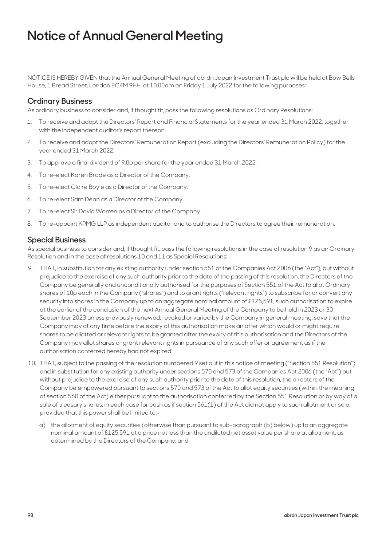## **Notice of Annual General Meeting**

NOTICE IS HEREBY GIVEN that the Annual General Meeting of abrdn Japan Investment Trust plc will be held at Bow Bells House, 1 Bread Street, London EC4M 9HH, at 10.00am on Friday 1 July 2022 for the following purposes:

#### **Ordinary Business**

As ordinary business to consider and, if thought fit, pass the following resolutions as Ordinary Resolutions:

- 1. To receive and adopt the Directors' Report and Financial Statements for the year ended 31 March 2022, together with the independent auditor's report thereon.
- 2. To receive and adopt the Directors' Remuneration Report (excluding the Directors' Remuneration Policy) for the year ended 31 March 2022.
- 3. To approve a final dividend of 9.0p per share for the year ended 31 March 2022.
- 4. To re-elect Karen Brade as a Director of the Company.
- 5. To re-elect Claire Boyle as a Director of the Company.
- 6. To re-elect Sam Dean as a Director of the Company.
- 7. To re-elect Sir David Warren as a Director of the Company.
- 8. To re-appoint KPMG LLP as independent auditor and to authorise the Directors to agree their remuneration.

#### **Special Business**

As special business to consider and, if thought fit, pass the following resolutions in the case of resolution 9 as an Ordinary Resolution and in the case of resolutions 10 and 11 as Special Resolutions:

- 9. THAT, in substitution for any existing authority under section 551 of the Companies Act 2006 (the "Act"), but without prejudice to the exercise of any such authority prior to the date of the passing of this resolution, the Directors of the Company be generally and unconditionally authorised for the purposes of Section 551 of the Act to allot Ordinary shares of 10p each in the Company ("shares") and to grant rights ("relevant rights") to subscribe for or convert any security into shares in the Company up to an aggregate nominal amount of £125,591, such authorisation to expire at the earlier of the conclusion of the next Annual General Meeting of the Company to be held in 2023 or 30 September 2023 unless previously renewed, revoked or varied by the Company in general meeting, save that the Company may at any time before the expiry of this authorisation make an offer which would or might require shares to be allotted or relevant rights to be granted after the expiry of this authorisation and the Directors of the Company may allot shares or grant relevant rights in pursuance of any such offer or agreement as if the authorisation conferred hereby had not expired.
- 10. THAT, subject to the passing of the resolution numbered 9 set out in this notice of meeting ("Section 551 Resolution") and in substitution for any existing authority under sections 570 and 573 of the Companies Act 2006 (the "Act") but without prejudice to the exercise of any such authority prior to the date of this resolution, the directors of the Company be empowered pursuant to sections 570 and 573 of the Act to allot equity securities (within the meaning of section 560 of the Act) either pursuant to the authorisation conferred by the Section 551 Resolution or by way of a sale of treasury shares, in each case for cash as if section 561(1) of the Act did not apply to such allotment or sale, provided that this power shall be limited to:
	- a) the allotment of equity securities (otherwise than pursuant to sub-paragraph (b) below) up to an aggregate nominal amount of £125,591 at a price not less than the undiluted net asset value per share at allotment, as determined by the Directors of the Company; and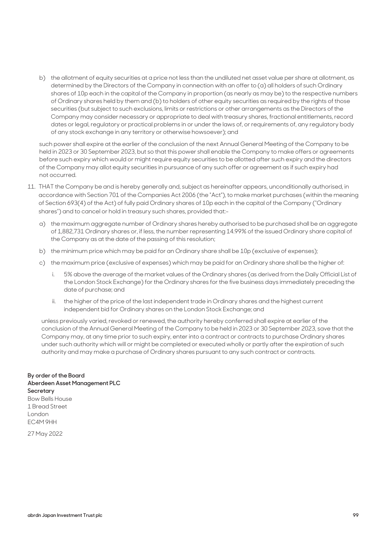b) the allotment of equity securities at a price not less than the undiluted net asset value per share at allotment, as determined by the Directors of the Company in connection with an offer to (a) all holders of such Ordinary shares of 10p each in the capital of the Company in proportion (as nearly as may be) to the respective numbers of Ordinary shares held by them and (b) to holders of other equity securities as required by the rights of those securities (but subject to such exclusions, limits or restrictions or other arrangements as the Directors of the Company may consider necessary or appropriate to deal with treasury shares, fractional entitlements, record dates or legal, regulatory or practical problems in or under the laws of, or requirements of, any regulatory body of any stock exchange in any territory or otherwise howsoever); and

such power shall expire at the earlier of the conclusion of the next Annual General Meeting of the Company to be held in 2023 or 30 September 2023, but so that this power shall enable the Company to make offers or agreements before such expiry which would or might require equity securities to be allotted after such expiry and the directors of the Company may allot equity securities in pursuance of any such offer or agreement as if such expiry had not occurred.

- 11. THAT the Company be and is hereby generally and, subject as hereinafter appears, unconditionally authorised, in accordance with Section 701 of the Companies Act 2006 (the "Act"), to make market purchases (within the meaning of Section 693(4) of the Act) of fully paid Ordinary shares of 10p each in the capital of the Company ("Ordinary shares") and to cancel or hold in treasury such shares, provided that:
	- a) the maximum aggregate number of Ordinary shares hereby authorised to be purchased shall be an aggregate of 1,882,731 Ordinary shares or, if less, the number representing 14.99% of the issued Ordinary share capital of the Company as at the date of the passing of this resolution;
	- b) the minimum price which may be paid for an Ordinary share shall be 10p (exclusive of expenses);
	- c) the maximum price (exclusive of expenses) which may be paid for an Ordinary share shall be the higher of:
		- i. 5% above the average of the market values of the Ordinary shares (as derived from the Daily Official List of the London Stock Exchange) for the Ordinary shares for the five business days immediately preceding the date of purchase; and
		- ii. the higher of the price of the last independent trade in Ordinary shares and the highest current independent bid for Ordinary shares on the London Stock Exchange; and

unless previously varied, revoked or renewed, the authority hereby conferred shall expire at earlier of the conclusion of the Annual General Meeting of the Company to be held in 2023 or 30 September 2023, save that the Company may, at any time prior to such expiry, enter into a contract or contracts to purchase Ordinary shares under such authority which will or might be completed or executed wholly or partly after the expiration of such authority and may make a purchase of Ordinary shares pursuant to any such contract or contracts.

**By order of the Board Aberdeen Asset Management PLC Secretary** Bow Bells House 1 Bread Street London EC4M 9HH

27 May 2022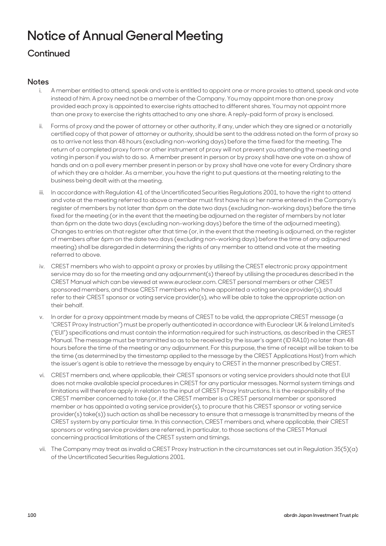# **Notice of Annual General Meeting**

### **Continued**

### **Notes**

- i. A member entitled to attend, speak and vote is entitled to appoint one or more proxies to attend, speak and vote instead of him. A proxy need not be a member of the Company. You may appoint more than one proxy provided each proxy is appointed to exercise rights attached to different shares. You may not appoint more than one proxy to exercise the rights attached to any one share. A reply-paid form of proxy is enclosed.
- ii. Forms of proxy and the power of attorney or other authority, if any, under which they are signed or a notarially certified copy of that power of attorney or authority, should be sent to the address noted on the form of proxy so as to arrive not less than 48 hours (excluding non-working days) before the time fixed for the meeting. The return of a completed proxy form or other instrument of proxy will not prevent you attending the meeting and voting in person if you wish to do so. A member present in person or by proxy shall have one vote on a show of hands and on a poll every member present in person or by proxy shall have one vote for every Ordinary share of which they are a holder. As a member, you have the right to put questions at the meeting relating to the business being dealt with at the meeting.
- iii. In accordance with Regulation 41 of the Uncertificated Securities Regulations 2001, to have the right to attend and vote at the meeting referred to above a member must first have his or her name entered in the Company's register of members by not later than 6pm on the date two days (excluding non-working days) before the time fixed for the meeting (or in the event that the meeting be adjourned on the register of members by not later than 6pm on the date two days (excluding non-working days) before the time of the adjourned meeting). Changes to entries on that register after that time (or, in the event that the meeting is adjourned, on the register of members after 6pm on the date two days (excluding non-working days) before the time of any adjourned meeting) shall be disregarded in determining the rights of any member to attend and vote at the meeting referred to above.
- iv. CREST members who wish to appoint a proxy or proxies by utilising the CREST electronic proxy appointment service may do so for the meeting and any adjournment(s) thereof by utilising the procedures described in the CREST Manual which can be viewed at www.euroclear.com. CREST personal members or other CREST sponsored members, and those CREST members who have appointed a voting service provider(s), should refer to their CREST sponsor or voting service provider(s), who will be able to take the appropriate action on their behalf.
- v. In order for a proxy appointment made by means of CREST to be valid, the appropriate CREST message (a "CREST Proxy Instruction") must be properly authenticated in accordance with Euroclear UK & Ireland Limited's ("EUI") specifications and must contain the information required for such instructions, as described in the CREST Manual. The message must be transmitted so as to be received by the issuer's agent (ID RA10) no later than 48 hours before the time of the meeting or any adjournment. For this purpose, the time of receipt will be taken to be the time (as determined by the timestamp applied to the message by the CREST Applications Host) from which the issuer's agent is able to retrieve the message by enquiry to CREST in the manner prescribed by CREST.
- vi. CREST members and, where applicable, their CREST sponsors or voting service providers should note that EUI does not make available special procedures in CREST for any particular messages. Normal system timings and limitations will therefore apply in relation to the input of CREST Proxy Instructions. It is the responsibility of the CREST member concerned to take (or, if the CREST member is a CREST personal member or sponsored member or has appointed a voting service provider(s), to procure that his CREST sponsor or voting service provider(s) take(s)) such action as shall be necessary to ensure that a message is transmitted by means of the CREST system by any particular time. In this connection, CREST members and, where applicable, their CREST sponsors or voting service providers are referred, in particular, to those sections of the CREST Manual concerning practical limitations of the CREST system and timings.
- vii. The Company may treat as invalid a CREST Proxy Instruction in the circumstances set out in Regulation 35(5)(a) of the Uncertificated Securities Regulations 2001.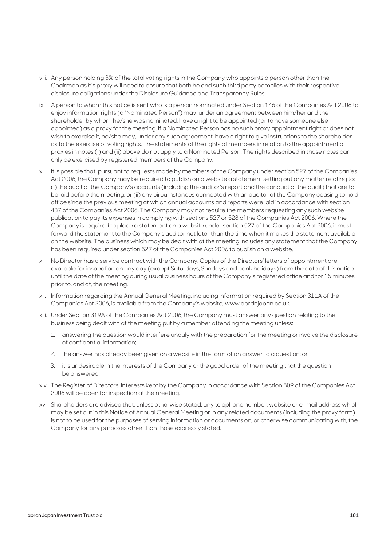- viii. Any person holding 3% of the total voting rights in the Company who appoints a person other than the Chairman as his proxy will need to ensure that both he and such third party complies with their respective disclosure obligations under the Disclosure Guidance and Transparency Rules.
- ix. A person to whom this notice is sent who is a person nominated under Section 146 of the Companies Act 2006 to enjoy information rights (a "Nominated Person") may, under an agreement between him/her and the shareholder by whom he/she was nominated, have a right to be appointed (or to have someone else appointed) as a proxy for the meeting. If a Nominated Person has no such proxy appointment right or does not wish to exercise it, he/she may, under any such agreement, have a right to give instructions to the shareholder as to the exercise of voting rights. The statements of the rights of members in relation to the appointment of proxies in notes (i) and (ii) above do not apply to a Nominated Person. The rights described in those notes can only be exercised by registered members of the Company.
- x. It is possible that, pursuant to requests made by members of the Company under section 527 of the Companies Act 2006, the Company may be required to publish on a website a statement setting out any matter relating to: (i) the audit of the Company's accounts (including the auditor's report and the conduct of the audit) that are to be laid before the meeting: or (ii) any circumstances connected with an auditor of the Company ceasing to hold office since the previous meeting at which annual accounts and reports were laid in accordance with section 437 of the Companies Act 2006. The Company may not require the members requesting any such website publication to pay its expenses in complying with sections 527 or 528 of the Companies Act 2006. Where the Company is required to place a statement on a website under section 527 of the Companies Act 2006, it must forward the statement to the Company's auditor not later than the time when it makes the statement available on the website. The business which may be dealt with at the meeting includes any statement that the Company has been required under section 527 of the Companies Act 2006 to publish on a website.
- xi. No Director has a service contract with the Company. Copies of the Directors' letters of appointment are available for inspection on any day (except Saturdays, Sundays and bank holidays) from the date of this notice until the date of the meeting during usual business hours at the Company's registered office and for 15 minutes prior to, and at, the meeting.
- xii. Information regarding the Annual General Meeting, including information required by Section 311A of the Companies Act 2006, is available from the Company's website, www.abrdnjapan.co.uk.
- xiii. Under Section 319A of the Companies Act 2006, the Company must answer any question relating to the business being dealt with at the meeting put by a member attending the meeting unless:
	- 1. answering the question would interfere unduly with the preparation for the meeting or involve the disclosure of confidential information;
	- 2. the answer has already been given on a website in the form of an answer to a question; or
	- 3. it is undesirable in the interests of the Company or the good order of the meeting that the question be answered.
- xiv. The Register of Directors' Interests kept by the Company in accordance with Section 809 of the Companies Act 2006 will be open for inspection at the meeting.
- xv. Shareholders are advised that, unless otherwise stated, any telephone number, website or e-mail address which may be set out in this Notice of Annual General Meeting or in any related documents (including the proxy form) is not to be used for the purposes of serving information or documents on, or otherwise communicating with, the Company for any purposes other than those expressly stated.